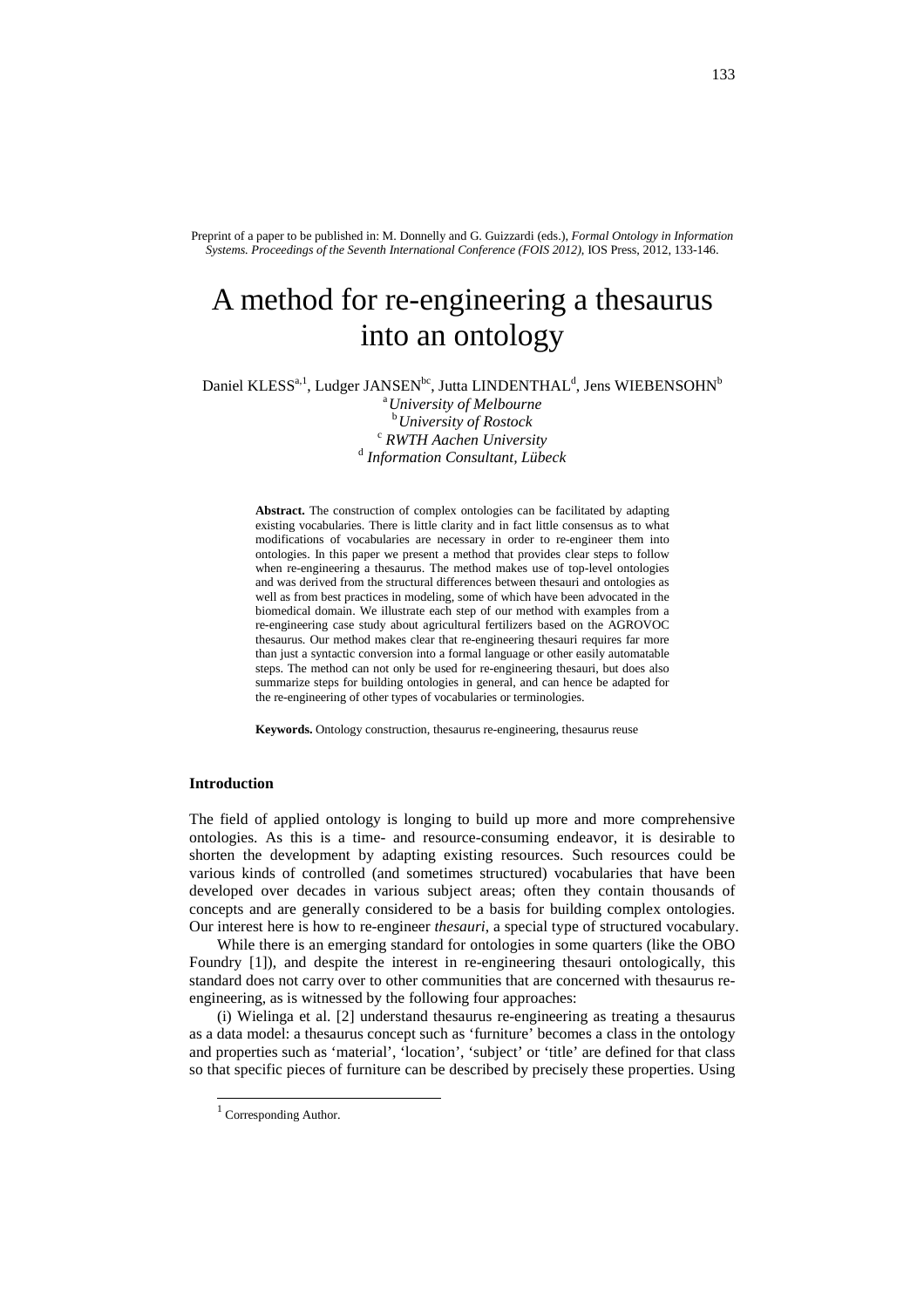Preprint of a paper to be published in: M. Donnelly and G. Guizzardi (eds.), *Formal Ontology in Information Systems. Proceedings of the Seventh International Conference (FOIS 2012)*, IOS Press, 2012, 133-146.

# A method for re-engineering a thesaurus into an ontology

Daniel KLESS $a,1}$ , Ludger JANSEN $^{bc}$ , Jutta LINDENTHAL $^{d}$ , Jens WIEBENSOHN $^{b}$ <sup>a</sup>*University of Melbourne*

<sup>b</sup>*University of Rostock* <sup>c</sup> *RWTH Aachen University* d  *Information Consultant, Lübeck*

**Abstract.** The construction of complex ontologies can be facilitated by adapting existing vocabularies. There is little clarity and in fact little consensus as to what modifications of vocabularies are necessary in order to re-engineer them into ontologies. In this paper we present a method that provides clear steps to follow when re-engineering a thesaurus. The method makes use of top-level ontologies and was derived from the structural differences between thesauri and ontologies as well as from best practices in modeling, some of which have been advocated in the biomedical domain. We illustrate each step of our method with examples from a re-engineering case study about agricultural fertilizers based on the AGROVOC thesaurus. Our method makes clear that re-engineering thesauri requires far more than just a syntactic conversion into a formal language or other easily automatable steps. The method can not only be used for re-engineering thesauri, but does also summarize steps for building ontologies in general, and can hence be adapted for the re-engineering of other types of vocabularies or terminologies.

**Keywords.** Ontology construction, thesaurus re-engineering, thesaurus reuse

#### **Introduction**

The field of applied ontology is longing to build up more and more comprehensive ontologies. As this is a time- and resource-consuming endeavor, it is desirable to shorten the development by adapting existing resources. Such resources could be various kinds of controlled (and sometimes structured) vocabularies that have been developed over decades in various subject areas; often they contain thousands of concepts and are generally considered to be a basis for building complex ontologies. Our interest here is how to re-engineer *thesauri*, a special type of structured vocabulary.

While there is an emerging standard for ontologies in some quarters (like the OBO Foundry [1]), and despite the interest in re-engineering thesauri ontologically, this standard does not carry over to other communities that are concerned with thesaurus reengineering, as is witnessed by the following four approaches:

(i) Wielinga et al. [2] understand thesaurus re-engineering as treating a thesaurus as a data model: a thesaurus concept such as 'furniture' becomes a class in the ontology and properties such as 'material', 'location', 'subject' or 'title' are defined for that class so that specific pieces of furniture can be described by precisely these properties. Using

l

<sup>&</sup>lt;sup>1</sup> Corresponding Author.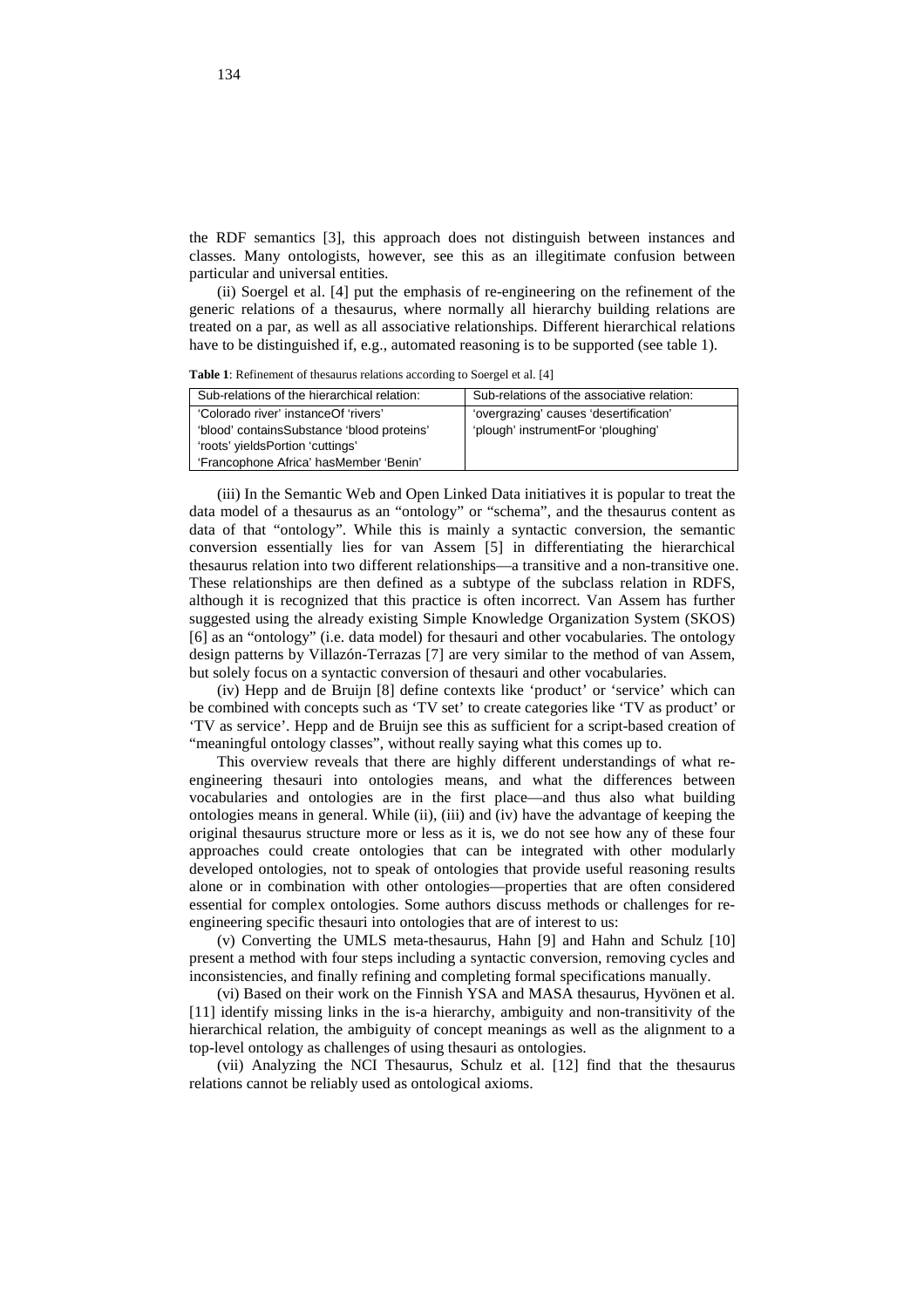the RDF semantics [3], this approach does not distinguish between instances and classes. Many ontologists, however, see this as an illegitimate confusion between particular and universal entities.

(ii) Soergel et al. [4] put the emphasis of re-engineering on the refinement of the generic relations of a thesaurus, where normally all hierarchy building relations are treated on a par, as well as all associative relationships. Different hierarchical relations have to be distinguished if, e.g., automated reasoning is to be supported (see table 1).

**Table 1**: Refinement of thesaurus relations according to Soergel et al. [4]

| Sub-relations of the hierarchical relation: | Sub-relations of the associative relation: |
|---------------------------------------------|--------------------------------------------|
| 'Colorado river' instance Of 'rivers'       | 'overgrazing' causes 'desertification'     |
| 'blood' containsSubstance 'blood proteins'  | 'plough' instrumentFor 'ploughing'         |
| 'roots' yieldsPortion 'cuttings'            |                                            |
| 'Francophone Africa' has Member 'Benin'     |                                            |

(iii) In the Semantic Web and Open Linked Data initiatives it is popular to treat the data model of a thesaurus as an "ontology" or "schema", and the thesaurus content as data of that "ontology". While this is mainly a syntactic conversion, the semantic conversion essentially lies for van Assem [5] in differentiating the hierarchical thesaurus relation into two different relationships—a transitive and a non-transitive one. These relationships are then defined as a subtype of the subclass relation in RDFS, although it is recognized that this practice is often incorrect. Van Assem has further suggested using the already existing Simple Knowledge Organization System (SKOS) [6] as an "ontology" (i.e. data model) for thesauri and other vocabularies. The ontology design patterns by Villazón-Terrazas [7] are very similar to the method of van Assem, but solely focus on a syntactic conversion of thesauri and other vocabularies.

(iv) Hepp and de Bruijn [8] define contexts like 'product' or 'service' which can be combined with concepts such as 'TV set' to create categories like 'TV as product' or 'TV as service'. Hepp and de Bruijn see this as sufficient for a script-based creation of "meaningful ontology classes", without really saying what this comes up to.

This overview reveals that there are highly different understandings of what reengineering thesauri into ontologies means, and what the differences between vocabularies and ontologies are in the first place—and thus also what building ontologies means in general. While (ii), (iii) and (iv) have the advantage of keeping the original thesaurus structure more or less as it is, we do not see how any of these four approaches could create ontologies that can be integrated with other modularly developed ontologies, not to speak of ontologies that provide useful reasoning results alone or in combination with other ontologies—properties that are often considered essential for complex ontologies. Some authors discuss methods or challenges for reengineering specific thesauri into ontologies that are of interest to us:

(v) Converting the UMLS meta-thesaurus, Hahn [9] and Hahn and Schulz [10] present a method with four steps including a syntactic conversion, removing cycles and inconsistencies, and finally refining and completing formal specifications manually.

(vi) Based on their work on the Finnish YSA and MASA thesaurus, Hyvönen et al. [11] identify missing links in the is-a hierarchy, ambiguity and non-transitivity of the hierarchical relation, the ambiguity of concept meanings as well as the alignment to a top-level ontology as challenges of using thesauri as ontologies.

(vii) Analyzing the NCI Thesaurus, Schulz et al. [12] find that the thesaurus relations cannot be reliably used as ontological axioms.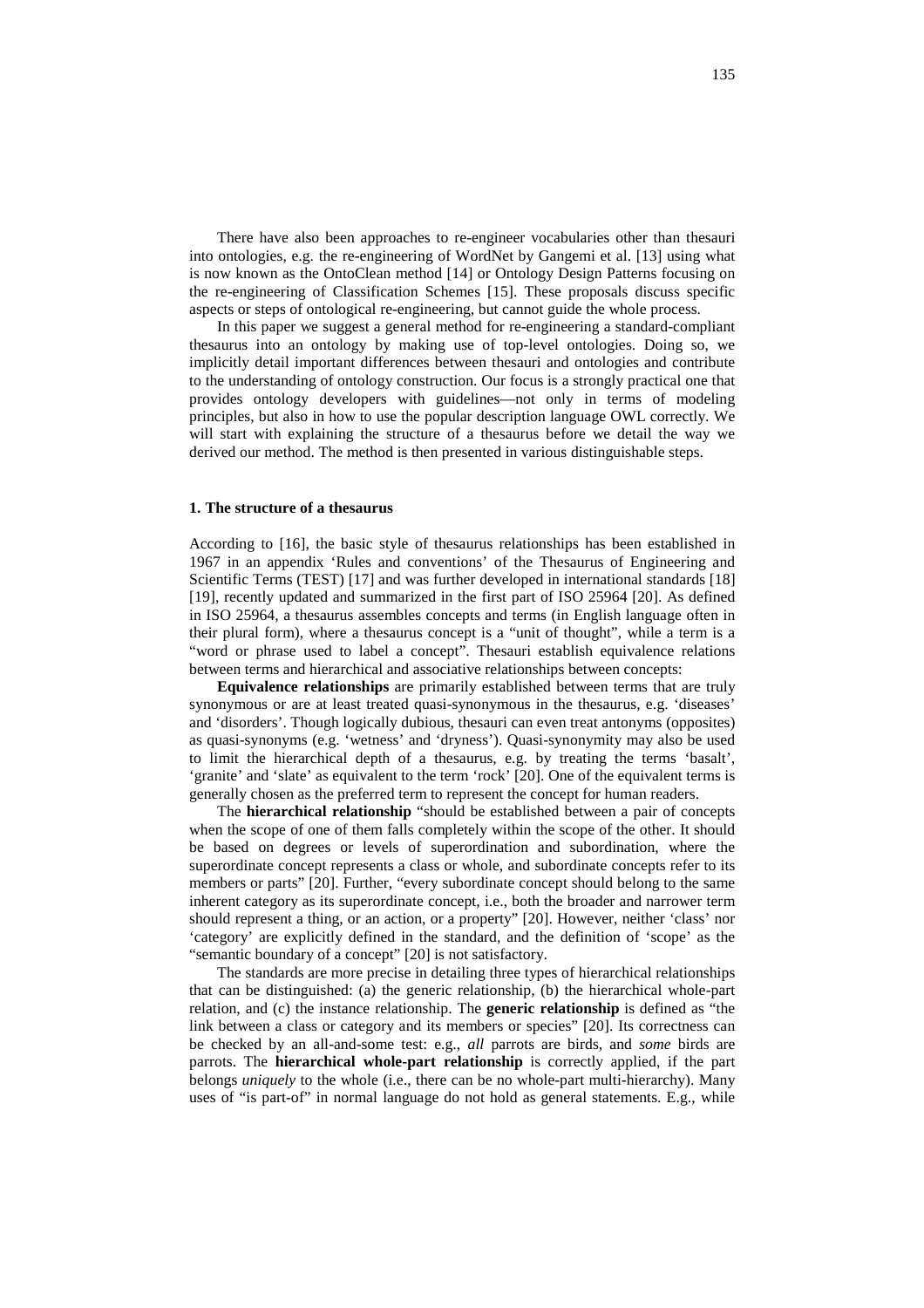There have also been approaches to re-engineer vocabularies other than thesauri into ontologies, e.g. the re-engineering of WordNet by Gangemi et al. [13] using what is now known as the OntoClean method [14] or Ontology Design Patterns focusing on the re-engineering of Classification Schemes [15]. These proposals discuss specific aspects or steps of ontological re-engineering, but cannot guide the whole process.

In this paper we suggest a general method for re-engineering a standard-compliant thesaurus into an ontology by making use of top-level ontologies. Doing so, we implicitly detail important differences between thesauri and ontologies and contribute to the understanding of ontology construction. Our focus is a strongly practical one that provides ontology developers with guidelines—not only in terms of modeling principles, but also in how to use the popular description language OWL correctly. We will start with explaining the structure of a thesaurus before we detail the way we derived our method. The method is then presented in various distinguishable steps.

## **1. The structure of a thesaurus**

According to [16], the basic style of thesaurus relationships has been established in 1967 in an appendix 'Rules and conventions' of the Thesaurus of Engineering and Scientific Terms (TEST) [17] and was further developed in international standards [18] [19], recently updated and summarized in the first part of ISO 25964 [20]. As defined in ISO 25964, a thesaurus assembles concepts and terms (in English language often in their plural form), where a thesaurus concept is a "unit of thought", while a term is a "word or phrase used to label a concept". Thesauri establish equivalence relations between terms and hierarchical and associative relationships between concepts:

**Equivalence relationships** are primarily established between terms that are truly synonymous or are at least treated quasi-synonymous in the thesaurus, e.g. 'diseases' and 'disorders'. Though logically dubious, thesauri can even treat antonyms (opposites) as quasi-synonyms (e.g. 'wetness' and 'dryness'). Quasi-synonymity may also be used to limit the hierarchical depth of a thesaurus, e.g. by treating the terms 'basalt', 'granite' and 'slate' as equivalent to the term 'rock' [20]. One of the equivalent terms is generally chosen as the preferred term to represent the concept for human readers.

The **hierarchical relationship** "should be established between a pair of concepts when the scope of one of them falls completely within the scope of the other. It should be based on degrees or levels of superordination and subordination, where the superordinate concept represents a class or whole, and subordinate concepts refer to its members or parts" [20]. Further, "every subordinate concept should belong to the same inherent category as its superordinate concept, i.e., both the broader and narrower term should represent a thing, or an action, or a property" [20]. However, neither 'class' nor 'category' are explicitly defined in the standard, and the definition of 'scope' as the "semantic boundary of a concept" [20] is not satisfactory.

The standards are more precise in detailing three types of hierarchical relationships that can be distinguished: (a) the generic relationship, (b) the hierarchical whole-part relation, and (c) the instance relationship. The **generic relationship** is defined as "the link between a class or category and its members or species" [20]. Its correctness can be checked by an all-and-some test: e.g., *all* parrots are birds, and *some* birds are parrots. The **hierarchical whole-part relationship** is correctly applied, if the part belongs *uniquely* to the whole (i.e., there can be no whole-part multi-hierarchy). Many uses of "is part-of" in normal language do not hold as general statements. E.g., while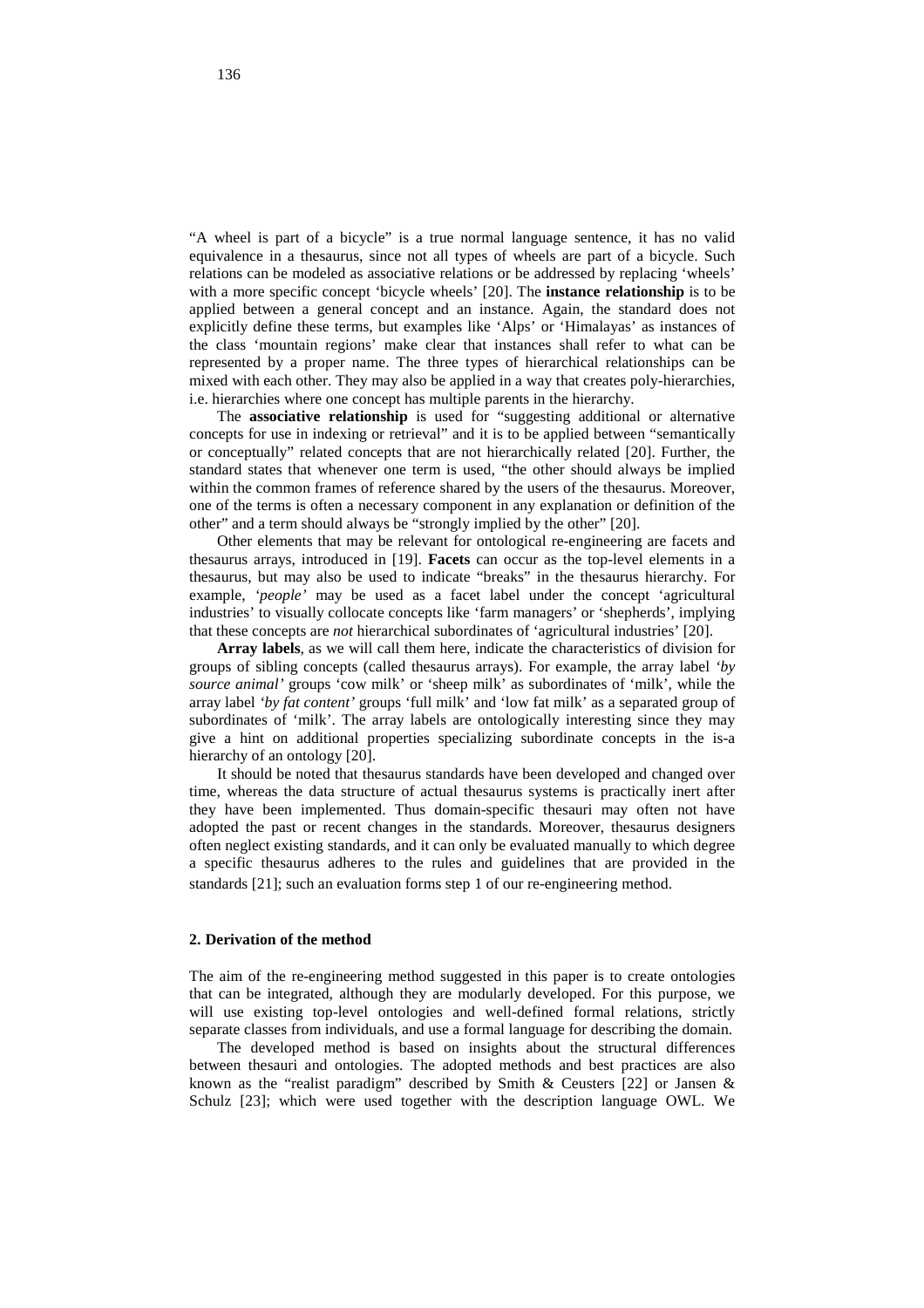"A wheel is part of a bicycle" is a true normal language sentence, it has no valid equivalence in a thesaurus, since not all types of wheels are part of a bicycle. Such relations can be modeled as associative relations or be addressed by replacing 'wheels' with a more specific concept 'bicycle wheels' [20]. The **instance relationship** is to be applied between a general concept and an instance. Again, the standard does not explicitly define these terms, but examples like 'Alps' or 'Himalayas' as instances of the class 'mountain regions' make clear that instances shall refer to what can be represented by a proper name. The three types of hierarchical relationships can be mixed with each other. They may also be applied in a way that creates poly-hierarchies, i.e. hierarchies where one concept has multiple parents in the hierarchy.

The **associative relationship** is used for "suggesting additional or alternative concepts for use in indexing or retrieval" and it is to be applied between "semantically or conceptually" related concepts that are not hierarchically related [20]. Further, the standard states that whenever one term is used, "the other should always be implied within the common frames of reference shared by the users of the thesaurus. Moreover, one of the terms is often a necessary component in any explanation or definition of the other" and a term should always be "strongly implied by the other" [20].

Other elements that may be relevant for ontological re-engineering are facets and thesaurus arrays, introduced in [19]. **Facets** can occur as the top-level elements in a thesaurus, but may also be used to indicate "breaks" in the thesaurus hierarchy. For example, *'people'* may be used as a facet label under the concept 'agricultural industries' to visually collocate concepts like 'farm managers' or 'shepherds', implying that these concepts are *not* hierarchical subordinates of 'agricultural industries' [20].

**Array labels**, as we will call them here, indicate the characteristics of division for groups of sibling concepts (called thesaurus arrays). For example, the array label *'by source animal'* groups 'cow milk' or 'sheep milk' as subordinates of 'milk', while the array label *'by fat content'* groups 'full milk' and 'low fat milk' as a separated group of subordinates of 'milk'. The array labels are ontologically interesting since they may give a hint on additional properties specializing subordinate concepts in the is-a hierarchy of an ontology [20].

It should be noted that thesaurus standards have been developed and changed over time, whereas the data structure of actual thesaurus systems is practically inert after they have been implemented. Thus domain-specific thesauri may often not have adopted the past or recent changes in the standards. Moreover, thesaurus designers often neglect existing standards, and it can only be evaluated manually to which degree a specific thesaurus adheres to the rules and guidelines that are provided in the standards [21]; such an evaluation forms step 1 of our re-engineering method.

# **2. Derivation of the method**

The aim of the re-engineering method suggested in this paper is to create ontologies that can be integrated, although they are modularly developed. For this purpose, we will use existing top-level ontologies and well-defined formal relations, strictly separate classes from individuals, and use a formal language for describing the domain.

The developed method is based on insights about the structural differences between thesauri and ontologies. The adopted methods and best practices are also known as the "realist paradigm" described by Smith & Ceusters [22] or Jansen & Schulz [23]; which were used together with the description language OWL. We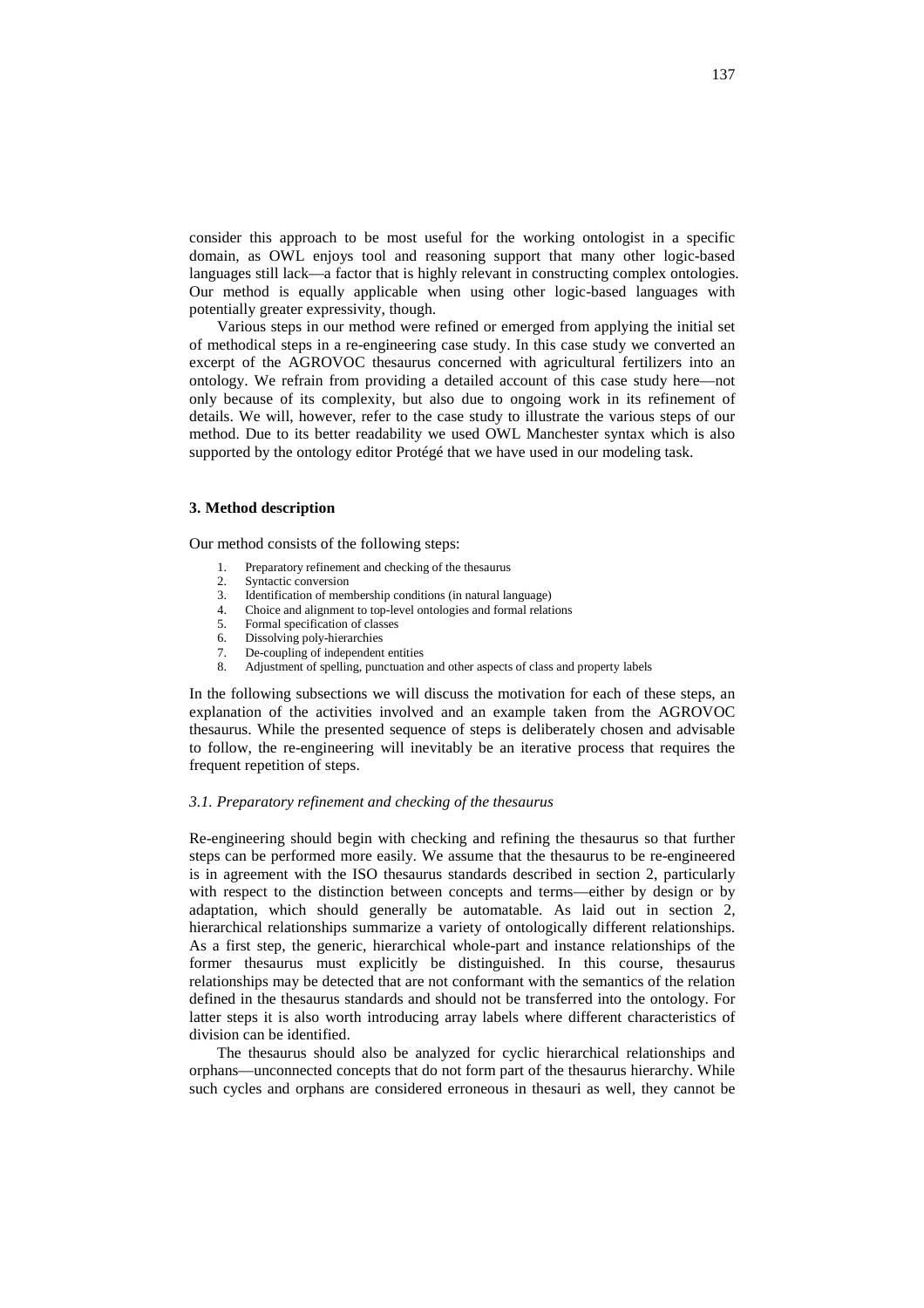consider this approach to be most useful for the working ontologist in a specific domain, as OWL enjoys tool and reasoning support that many other logic-based languages still lack—a factor that is highly relevant in constructing complex ontologies. Our method is equally applicable when using other logic-based languages with potentially greater expressivity, though.

Various steps in our method were refined or emerged from applying the initial set of methodical steps in a re-engineering case study. In this case study we converted an excerpt of the AGROVOC thesaurus concerned with agricultural fertilizers into an ontology. We refrain from providing a detailed account of this case study here—not only because of its complexity, but also due to ongoing work in its refinement of details. We will, however, refer to the case study to illustrate the various steps of our method. Due to its better readability we used OWL Manchester syntax which is also supported by the ontology editor Protégé that we have used in our modeling task.

## **3. Method description**

Our method consists of the following steps:

- 1. Preparatory refinement and checking of the thesaurus
- 2. Syntactic conversion
- 3. Identification of membership conditions (in natural language)
- 4. Choice and alignment to top-level ontologies and formal relations
- 5. Formal specification of classes
- 6. Dissolving poly-hierarchies 7. De-coupling of independent entities
- 8. Adjustment of spelling, punctuation and other aspects of class and property labels

In the following subsections we will discuss the motivation for each of these steps, an explanation of the activities involved and an example taken from the AGROVOC thesaurus. While the presented sequence of steps is deliberately chosen and advisable to follow, the re-engineering will inevitably be an iterative process that requires the frequent repetition of steps.

# *3.1. Preparatory refinement and checking of the thesaurus*

Re-engineering should begin with checking and refining the thesaurus so that further steps can be performed more easily. We assume that the thesaurus to be re-engineered is in agreement with the ISO thesaurus standards described in section 2, particularly with respect to the distinction between concepts and terms—either by design or by adaptation, which should generally be automatable. As laid out in section 2, hierarchical relationships summarize a variety of ontologically different relationships. As a first step, the generic, hierarchical whole-part and instance relationships of the former thesaurus must explicitly be distinguished. In this course, thesaurus relationships may be detected that are not conformant with the semantics of the relation defined in the thesaurus standards and should not be transferred into the ontology. For latter steps it is also worth introducing array labels where different characteristics of division can be identified.

The thesaurus should also be analyzed for cyclic hierarchical relationships and orphans—unconnected concepts that do not form part of the thesaurus hierarchy. While such cycles and orphans are considered erroneous in thesauri as well, they cannot be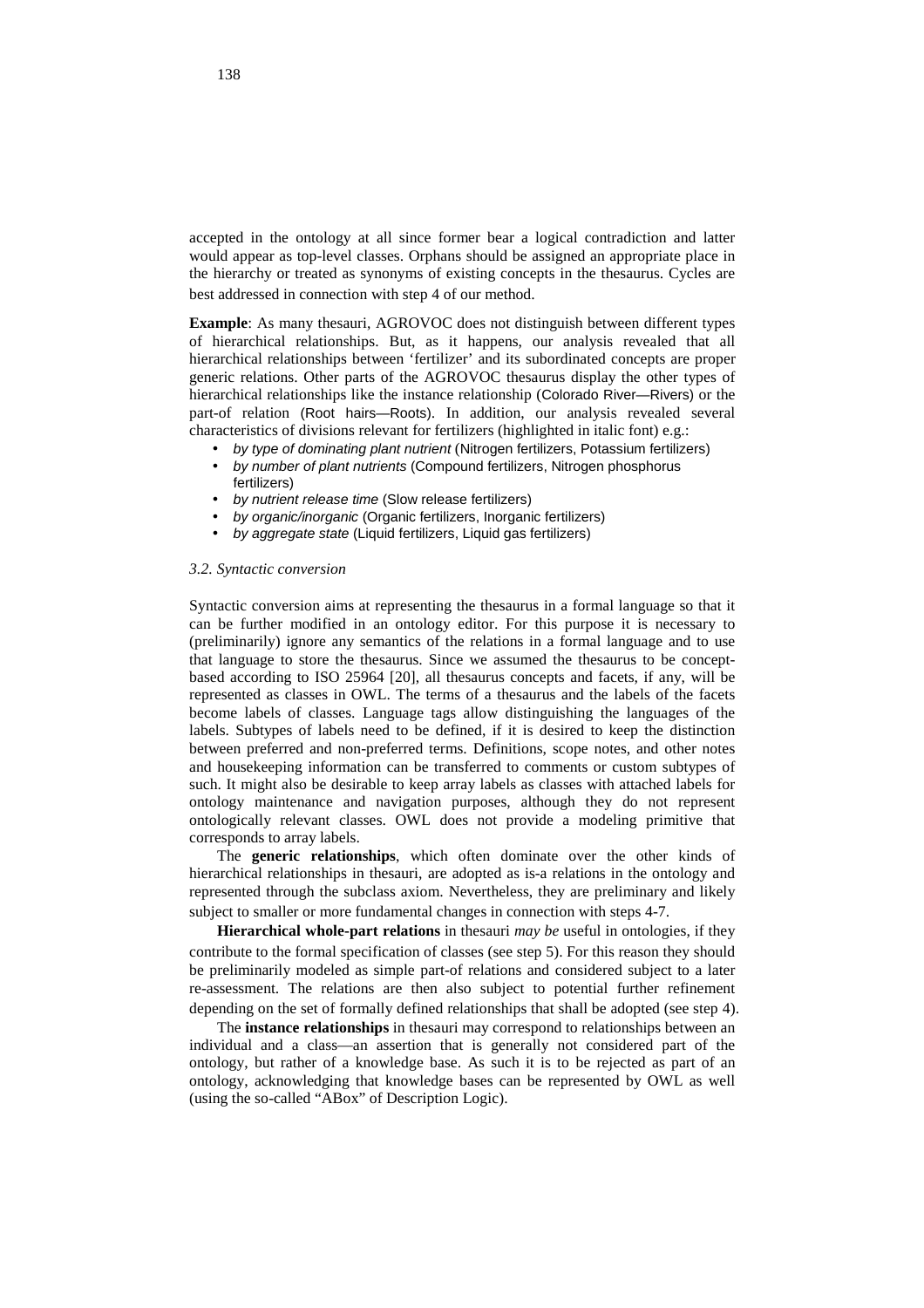accepted in the ontology at all since former bear a logical contradiction and latter would appear as top-level classes. Orphans should be assigned an appropriate place in the hierarchy or treated as synonyms of existing concepts in the thesaurus. Cycles are best addressed in connection with step 4 of our method.

**Example**: As many thesauri, AGROVOC does not distinguish between different types of hierarchical relationships. But, as it happens, our analysis revealed that all hierarchical relationships between 'fertilizer' and its subordinated concepts are proper generic relations. Other parts of the AGROVOC thesaurus display the other types of hierarchical relationships like the instance relationship (Colorado River—Rivers) or the part-of relation (Root hairs—Roots). In addition, our analysis revealed several characteristics of divisions relevant for fertilizers (highlighted in italic font) e.g.:

- by type of dominating plant nutrient (Nitrogen fertilizers, Potassium fertilizers)
- by number of plant nutrients (Compound fertilizers, Nitrogen phosphorus fertilizers)
- by nutrient release time (Slow release fertilizers)
- by organic/inorganic (Organic fertilizers, Inorganic fertilizers)
- by aggregate state (Liquid fertilizers, Liquid gas fertilizers)

## *3.2. Syntactic conversion*

Syntactic conversion aims at representing the thesaurus in a formal language so that it can be further modified in an ontology editor. For this purpose it is necessary to (preliminarily) ignore any semantics of the relations in a formal language and to use that language to store the thesaurus. Since we assumed the thesaurus to be conceptbased according to ISO 25964 [20], all thesaurus concepts and facets, if any, will be represented as classes in OWL. The terms of a thesaurus and the labels of the facets become labels of classes. Language tags allow distinguishing the languages of the labels. Subtypes of labels need to be defined, if it is desired to keep the distinction between preferred and non-preferred terms. Definitions, scope notes, and other notes and housekeeping information can be transferred to comments or custom subtypes of such. It might also be desirable to keep array labels as classes with attached labels for ontology maintenance and navigation purposes, although they do not represent ontologically relevant classes. OWL does not provide a modeling primitive that corresponds to array labels.

The **generic relationships**, which often dominate over the other kinds of hierarchical relationships in thesauri, are adopted as is-a relations in the ontology and represented through the subclass axiom. Nevertheless, they are preliminary and likely subject to smaller or more fundamental changes in connection with steps 4-7.

**Hierarchical whole-part relations** in thesauri *may be* useful in ontologies, if they contribute to the formal specification of classes (see step 5). For this reason they should be preliminarily modeled as simple part-of relations and considered subject to a later re-assessment. The relations are then also subject to potential further refinement depending on the set of formally defined relationships that shall be adopted (see step 4).

The **instance relationships** in thesauri may correspond to relationships between an individual and a class—an assertion that is generally not considered part of the ontology, but rather of a knowledge base. As such it is to be rejected as part of an ontology, acknowledging that knowledge bases can be represented by OWL as well (using the so-called "ABox" of Description Logic).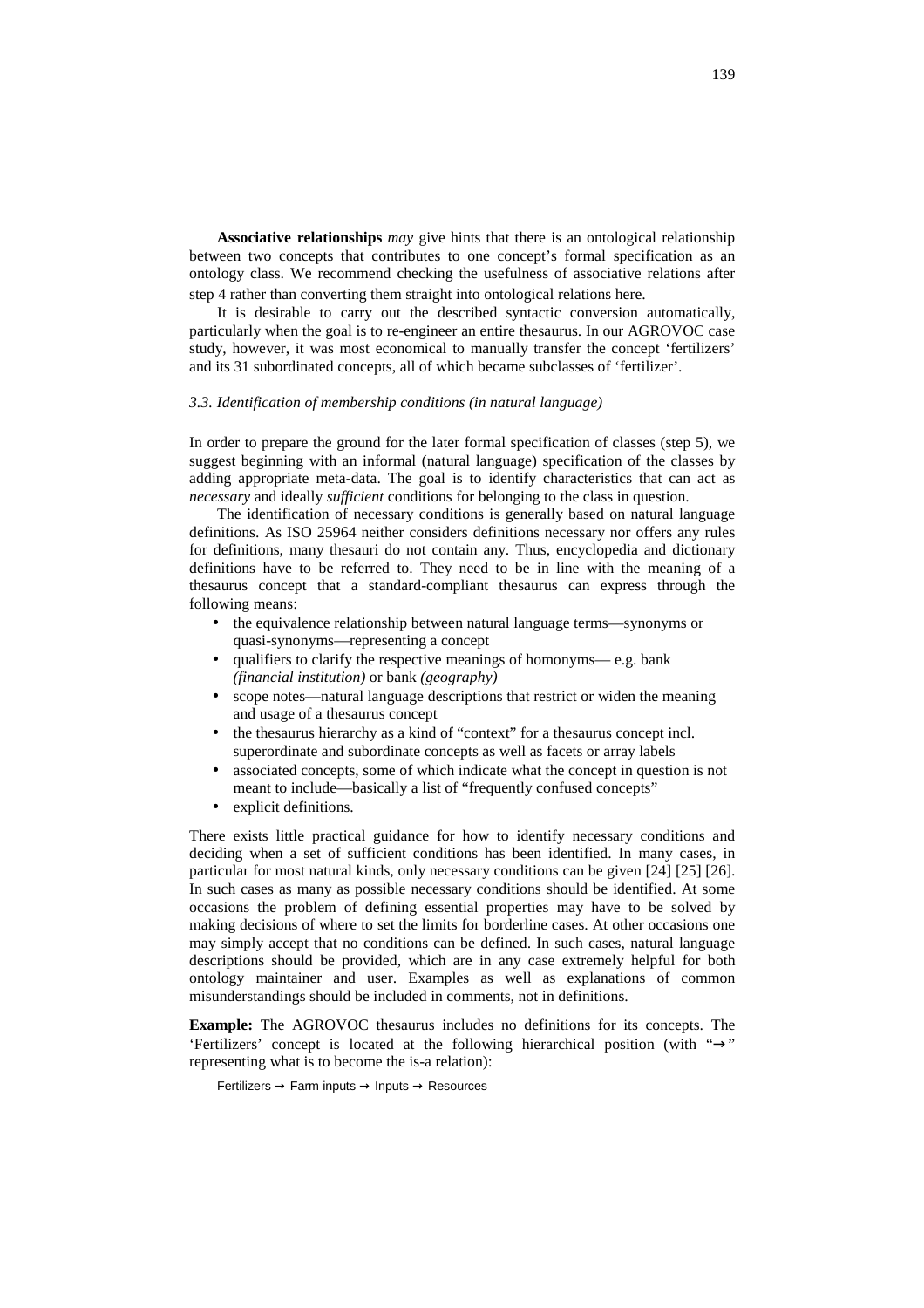**Associative relationships** *may* give hints that there is an ontological relationship between two concepts that contributes to one concept's formal specification as an ontology class. We recommend checking the usefulness of associative relations after step 4 rather than converting them straight into ontological relations here.

It is desirable to carry out the described syntactic conversion automatically, particularly when the goal is to re-engineer an entire thesaurus. In our AGROVOC case study, however, it was most economical to manually transfer the concept 'fertilizers' and its 31 subordinated concepts, all of which became subclasses of 'fertilizer'.

# *3.3. Identification of membership conditions (in natural language)*

In order to prepare the ground for the later formal specification of classes (step 5), we suggest beginning with an informal (natural language) specification of the classes by adding appropriate meta-data. The goal is to identify characteristics that can act as *necessary* and ideally *sufficient* conditions for belonging to the class in question.

The identification of necessary conditions is generally based on natural language definitions. As ISO 25964 neither considers definitions necessary nor offers any rules for definitions, many thesauri do not contain any. Thus, encyclopedia and dictionary definitions have to be referred to. They need to be in line with the meaning of a thesaurus concept that a standard-compliant thesaurus can express through the following means:

- the equivalence relationship between natural language terms—synonyms or quasi-synonyms—representing a concept
- qualifiers to clarify the respective meanings of homonyms— e.g. bank *(financial institution)* or bank *(geography)*
- scope notes—natural language descriptions that restrict or widen the meaning and usage of a thesaurus concept
- the thesaurus hierarchy as a kind of "context" for a thesaurus concept incl. superordinate and subordinate concepts as well as facets or array labels
- associated concepts, some of which indicate what the concept in question is not meant to include—basically a list of "frequently confused concepts"
- explicit definitions.

There exists little practical guidance for how to identify necessary conditions and deciding when a set of sufficient conditions has been identified. In many cases, in particular for most natural kinds, only necessary conditions can be given [24] [25] [26]. In such cases as many as possible necessary conditions should be identified. At some occasions the problem of defining essential properties may have to be solved by making decisions of where to set the limits for borderline cases. At other occasions one may simply accept that no conditions can be defined. In such cases, natural language descriptions should be provided, which are in any case extremely helpful for both ontology maintainer and user. Examples as well as explanations of common misunderstandings should be included in comments, not in definitions.

**Example:** The AGROVOC thesaurus includes no definitions for its concepts. The 'Fertilizers' concept is located at the following hierarchical position (with "→" representing what is to become the is-a relation):

Fertilizers → Farm inputs → Inputs → Resources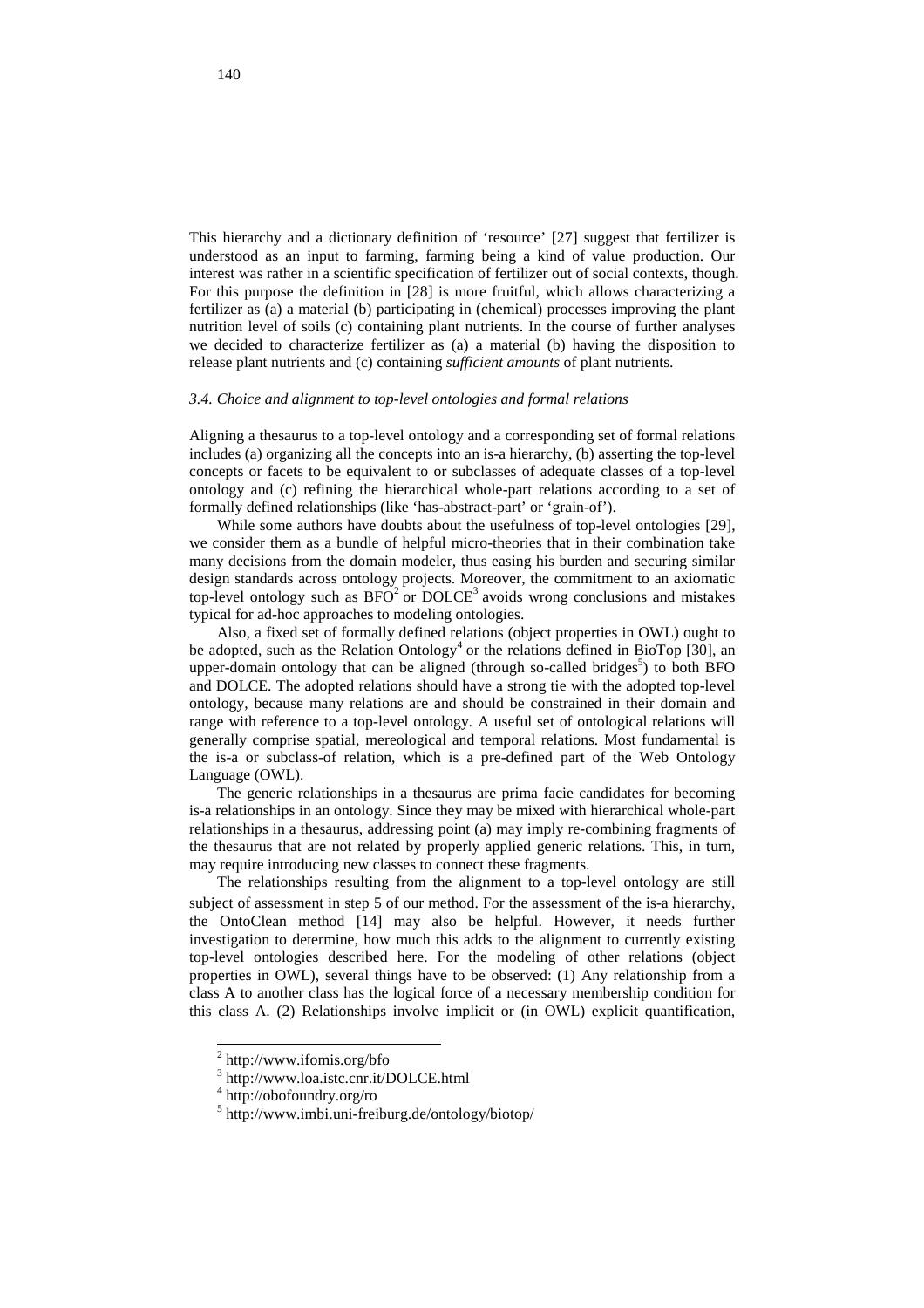This hierarchy and a dictionary definition of 'resource' [27] suggest that fertilizer is understood as an input to farming, farming being a kind of value production. Our interest was rather in a scientific specification of fertilizer out of social contexts, though. For this purpose the definition in [28] is more fruitful, which allows characterizing a fertilizer as (a) a material (b) participating in (chemical) processes improving the plant nutrition level of soils (c) containing plant nutrients. In the course of further analyses we decided to characterize fertilizer as (a) a material (b) having the disposition to release plant nutrients and (c) containing *sufficient amounts* of plant nutrients.

## *3.4. Choice and alignment to top-level ontologies and formal relations*

Aligning a thesaurus to a top-level ontology and a corresponding set of formal relations includes (a) organizing all the concepts into an is-a hierarchy, (b) asserting the top-level concepts or facets to be equivalent to or subclasses of adequate classes of a top-level ontology and (c) refining the hierarchical whole-part relations according to a set of formally defined relationships (like 'has-abstract-part' or 'grain-of').

While some authors have doubts about the usefulness of top-level ontologies [29], we consider them as a bundle of helpful micro-theories that in their combination take many decisions from the domain modeler, thus easing his burden and securing similar design standards across ontology projects. Moreover, the commitment to an axiomatic top-level ontology such as  $B\overline{FO}^2$  or  $DOLCE^3$  avoids wrong conclusions and mistakes typical for ad-hoc approaches to modeling ontologies.

Also, a fixed set of formally defined relations (object properties in OWL) ought to be adopted, such as the Relation Ontology<sup>4</sup> or the relations defined in BioTop [30], an upper-domain ontology that can be aligned (through so-called bridges<sup>5</sup>) to both BFO and DOLCE. The adopted relations should have a strong tie with the adopted top-level ontology, because many relations are and should be constrained in their domain and range with reference to a top-level ontology. A useful set of ontological relations will generally comprise spatial, mereological and temporal relations. Most fundamental is the is-a or subclass-of relation, which is a pre-defined part of the Web Ontology Language (OWL).

The generic relationships in a thesaurus are prima facie candidates for becoming is-a relationships in an ontology. Since they may be mixed with hierarchical whole-part relationships in a thesaurus, addressing point (a) may imply re-combining fragments of the thesaurus that are not related by properly applied generic relations. This, in turn, may require introducing new classes to connect these fragments.

The relationships resulting from the alignment to a top-level ontology are still subject of assessment in step 5 of our method. For the assessment of the is-a hierarchy, the OntoClean method [14] may also be helpful. However, it needs further investigation to determine, how much this adds to the alignment to currently existing top-level ontologies described here. For the modeling of other relations (object properties in OWL), several things have to be observed: (1) Any relationship from a class A to another class has the logical force of a necessary membership condition for this class A. (2) Relationships involve implicit or (in OWL) explicit quantification,

l

<sup>2</sup> http://www.ifomis.org/bfo

<sup>3</sup> http://www.loa.istc.cnr.it/DOLCE.html

<sup>4</sup> http://obofoundry.org/ro

<sup>5</sup> http://www.imbi.uni-freiburg.de/ontology/biotop/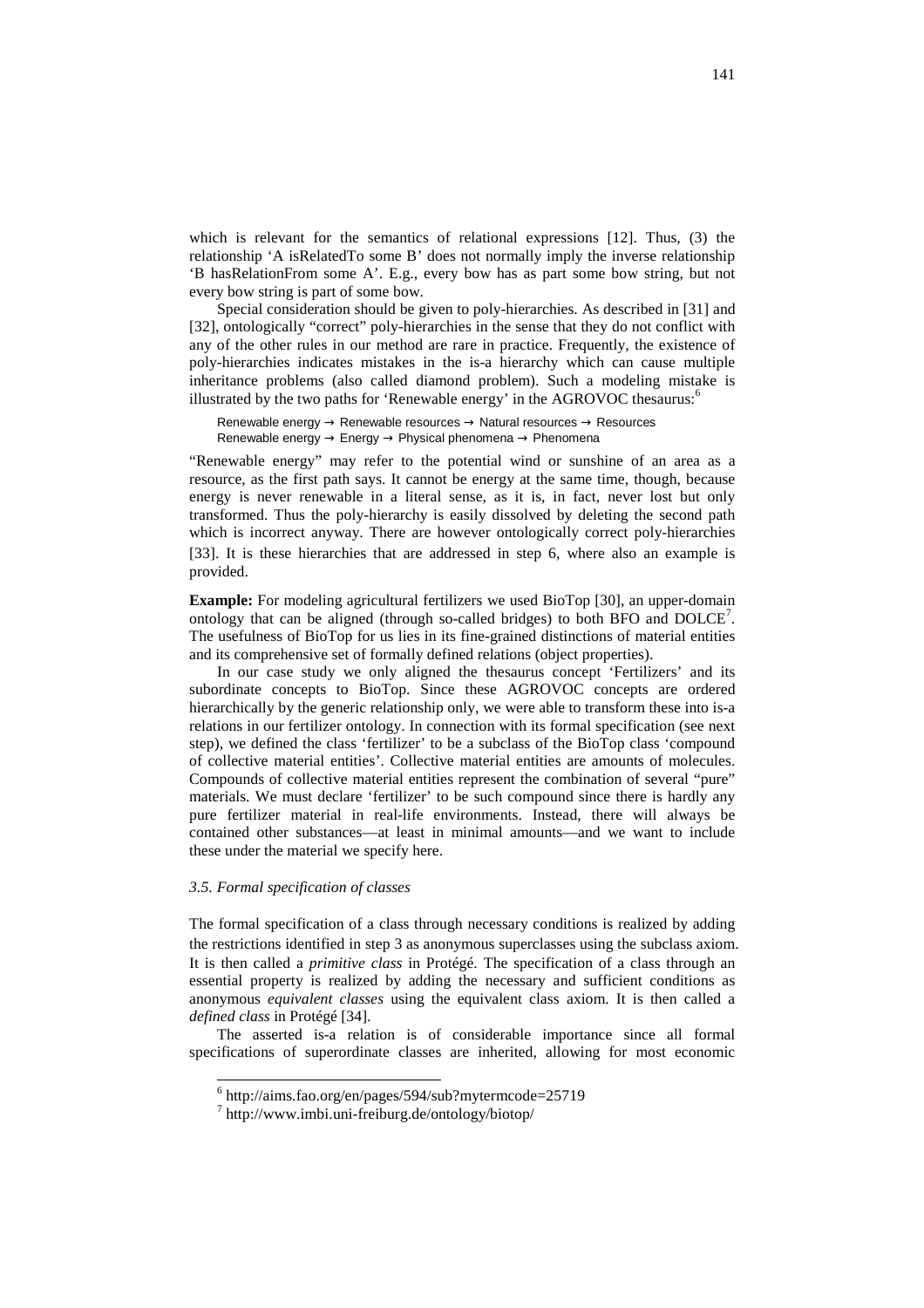which is relevant for the semantics of relational expressions [12]. Thus, (3) the relationship 'A isRelatedTo some B' does not normally imply the inverse relationship 'B hasRelationFrom some A'. E.g., every bow has as part some bow string, but not every bow string is part of some bow.

Special consideration should be given to poly-hierarchies. As described in [31] and [32], ontologically "correct" poly-hierarchies in the sense that they do not conflict with any of the other rules in our method are rare in practice. Frequently, the existence of poly-hierarchies indicates mistakes in the is-a hierarchy which can cause multiple inheritance problems (also called diamond problem). Such a modeling mistake is illustrated by the two paths for 'Renewable energy' in the AGROVOC thesaurus:<sup>6</sup>

Renewable energy → Renewable resources → Natural resources → Resources Renewable energy → Energy → Physical phenomena → Phenomena

"Renewable energy" may refer to the potential wind or sunshine of an area as a resource, as the first path says. It cannot be energy at the same time, though, because energy is never renewable in a literal sense, as it is, in fact, never lost but only transformed. Thus the poly-hierarchy is easily dissolved by deleting the second path which is incorrect anyway. There are however ontologically correct poly-hierarchies [33]. It is these hierarchies that are addressed in step 6, where also an example is provided.

**Example:** For modeling agricultural fertilizers we used BioTop [30], an upper-domain ontology that can be aligned (through so-called bridges) to both BFO and DOLCE<sup>7</sup>. The usefulness of BioTop for us lies in its fine-grained distinctions of material entities and its comprehensive set of formally defined relations (object properties).

In our case study we only aligned the thesaurus concept 'Fertilizers' and its subordinate concepts to BioTop. Since these AGROVOC concepts are ordered hierarchically by the generic relationship only, we were able to transform these into is-a relations in our fertilizer ontology. In connection with its formal specification (see next step), we defined the class 'fertilizer' to be a subclass of the BioTop class 'compound of collective material entities'. Collective material entities are amounts of molecules. Compounds of collective material entities represent the combination of several "pure" materials. We must declare 'fertilizer' to be such compound since there is hardly any pure fertilizer material in real-life environments. Instead, there will always be contained other substances—at least in minimal amounts—and we want to include these under the material we specify here.

#### *3.5. Formal specification of classes*

The formal specification of a class through necessary conditions is realized by adding the restrictions identified in step 3 as anonymous superclasses using the subclass axiom. It is then called a *primitive class* in Protégé. The specification of a class through an essential property is realized by adding the necessary and sufficient conditions as anonymous *equivalent classes* using the equivalent class axiom. It is then called a *defined class* in Protégé [34].

The asserted is-a relation is of considerable importance since all formal specifications of superordinate classes are inherited, allowing for most economic

 6 http://aims.fao.org/en/pages/594/sub?mytermcode=25719

<sup>7</sup> http://www.imbi.uni-freiburg.de/ontology/biotop/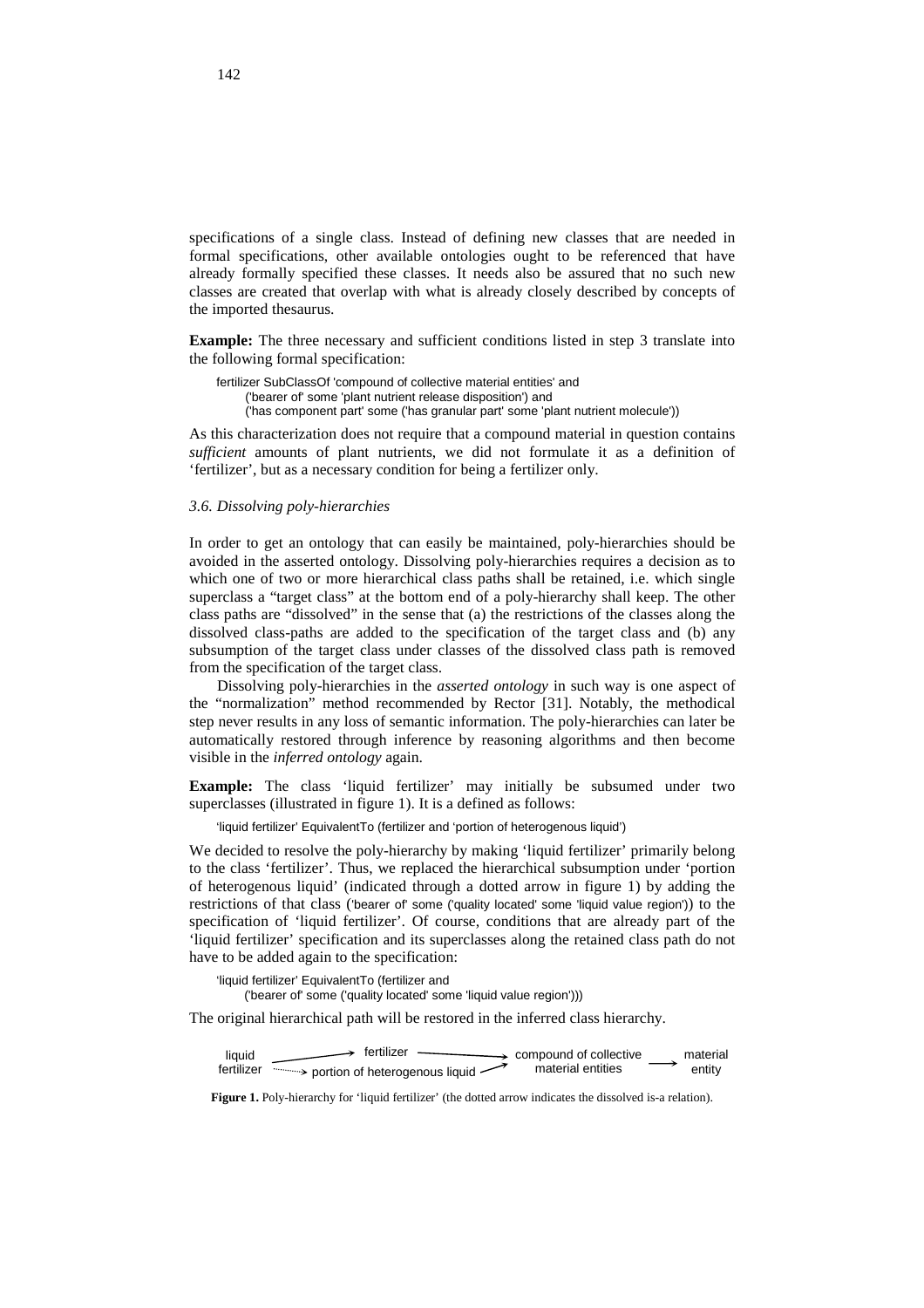specifications of a single class. Instead of defining new classes that are needed in formal specifications, other available ontologies ought to be referenced that have already formally specified these classes. It needs also be assured that no such new classes are created that overlap with what is already closely described by concepts of the imported thesaurus.

**Example:** The three necessary and sufficient conditions listed in step 3 translate into the following formal specification:

fertilizer SubClassOf 'compound of collective material entities' and ('bearer of' some 'plant nutrient release disposition') and ('has component part' some ('has granular part' some 'plant nutrient molecule'))

As this characterization does not require that a compound material in question contains *sufficient* amounts of plant nutrients, we did not formulate it as a definition of 'fertilizer', but as a necessary condition for being a fertilizer only.

## *3.6. Dissolving poly-hierarchies*

In order to get an ontology that can easily be maintained, poly-hierarchies should be avoided in the asserted ontology. Dissolving poly-hierarchies requires a decision as to which one of two or more hierarchical class paths shall be retained, i.e. which single superclass a "target class" at the bottom end of a poly-hierarchy shall keep. The other class paths are "dissolved" in the sense that (a) the restrictions of the classes along the dissolved class-paths are added to the specification of the target class and (b) any subsumption of the target class under classes of the dissolved class path is removed from the specification of the target class.

Dissolving poly-hierarchies in the *asserted ontology* in such way is one aspect of the "normalization" method recommended by Rector [31]. Notably, the methodical step never results in any loss of semantic information. The poly-hierarchies can later be automatically restored through inference by reasoning algorithms and then become visible in the *inferred ontology* again.

**Example:** The class 'liquid fertilizer' may initially be subsumed under two superclasses (illustrated in figure 1). It is a defined as follows:

'liquid fertilizer' EquivalentTo (fertilizer and 'portion of heterogenous liquid')

We decided to resolve the poly-hierarchy by making 'liquid fertilizer' primarily belong to the class 'fertilizer'. Thus, we replaced the hierarchical subsumption under 'portion of heterogenous liquid' (indicated through a dotted arrow in figure 1) by adding the restrictions of that class ('bearer of' some ('quality located' some 'liquid value region')) to the specification of 'liquid fertilizer'. Of course, conditions that are already part of the 'liquid fertilizer' specification and its superclasses along the retained class path do not have to be added again to the specification:

'liquid fertilizer' EquivalentTo (fertilizer and ('bearer of' some ('quality located' some 'liquid value region')))

The original hierarchical path will be restored in the inferred class hierarchy.

compound of collective material entities liquid fertilizer fertilizer  $\longrightarrow$  compound of collective material portion of heterogenous liquid material entities entity

**Figure 1.** Poly-hierarchy for 'liquid fertilizer' (the dotted arrow indicates the dissolved is-a relation).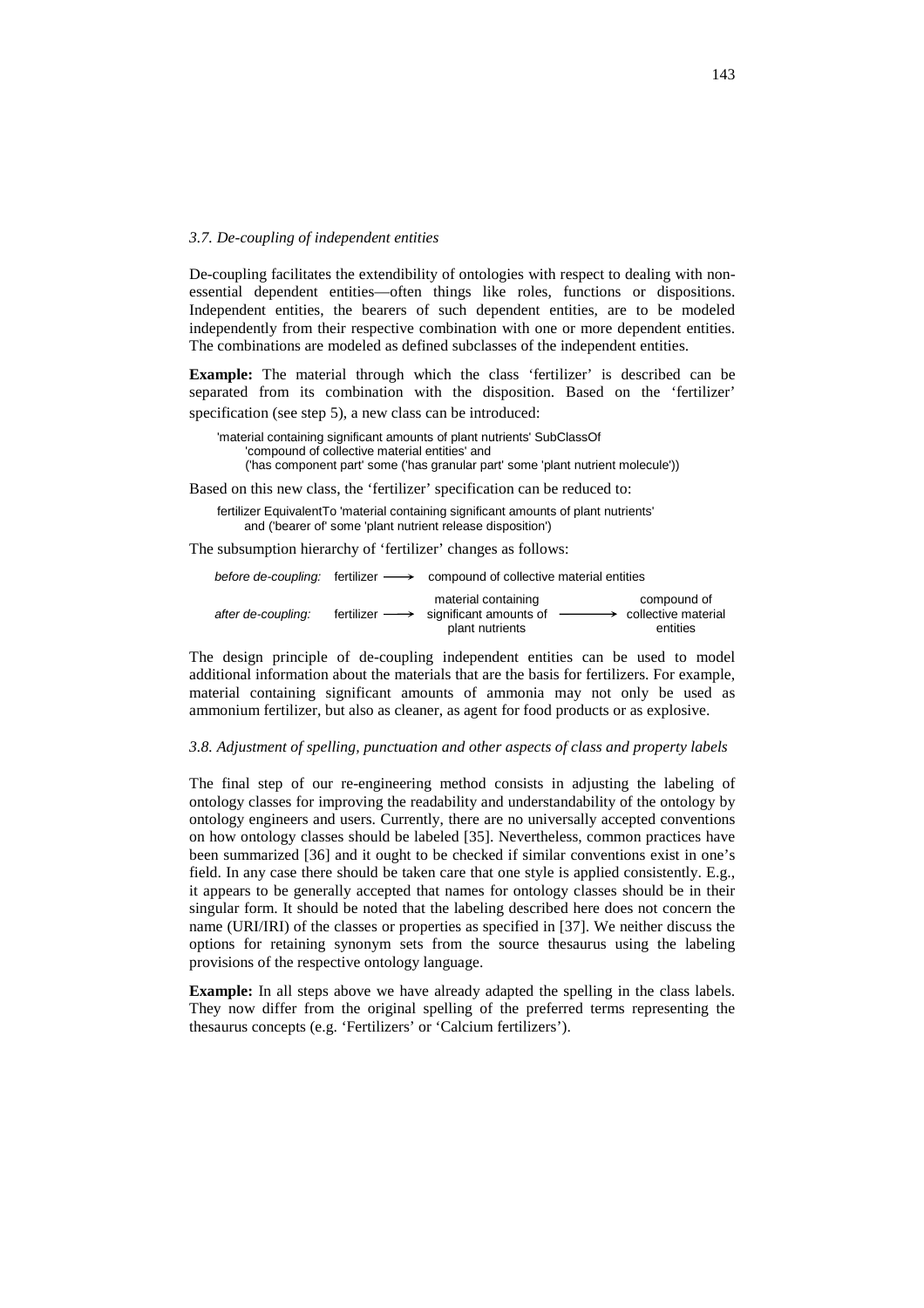#### *3.7. De-coupling of independent entities*

De-coupling facilitates the extendibility of ontologies with respect to dealing with nonessential dependent entities—often things like roles, functions or dispositions. Independent entities, the bearers of such dependent entities, are to be modeled independently from their respective combination with one or more dependent entities. The combinations are modeled as defined subclasses of the independent entities.

**Example:** The material through which the class 'fertilizer' is described can be separated from its combination with the disposition. Based on the 'fertilizer' specification (see step 5), a new class can be introduced:

'material containing significant amounts of plant nutrients' SubClassOf 'compound of collective material entities' and ('has component part' some ('has granular part' some 'plant nutrient molecule'))

Based on this new class, the 'fertilizer' specification can be reduced to:

fertilizer EquivalentTo 'material containing significant amounts of plant nutrients' and ('bearer of' some 'plant nutrient release disposition')

The subsumption hierarchy of 'fertilizer' changes as follows:

|                    |                              | before de-coupling: fertilizer $\longrightarrow$ compound of collective material entities |                                                                  |
|--------------------|------------------------------|-------------------------------------------------------------------------------------------|------------------------------------------------------------------|
| after de-coupling: | fertilizer $\longrightarrow$ | material containing<br>significant amounts of<br>plant nutrients                          | compound of<br>$\longrightarrow$ collective material<br>entities |

The design principle of de-coupling independent entities can be used to model additional information about the materials that are the basis for fertilizers. For example, material containing significant amounts of ammonia may not only be used as ammonium fertilizer, but also as cleaner, as agent for food products or as explosive.

## *3.8. Adjustment of spelling, punctuation and other aspects of class and property labels*

The final step of our re-engineering method consists in adjusting the labeling of ontology classes for improving the readability and understandability of the ontology by ontology engineers and users. Currently, there are no universally accepted conventions on how ontology classes should be labeled [35]. Nevertheless, common practices have been summarized [36] and it ought to be checked if similar conventions exist in one's field. In any case there should be taken care that one style is applied consistently. E.g., it appears to be generally accepted that names for ontology classes should be in their singular form. It should be noted that the labeling described here does not concern the name (URI/IRI) of the classes or properties as specified in [37]. We neither discuss the options for retaining synonym sets from the source thesaurus using the labeling provisions of the respective ontology language.

**Example:** In all steps above we have already adapted the spelling in the class labels. They now differ from the original spelling of the preferred terms representing the thesaurus concepts (e.g. 'Fertilizers' or 'Calcium fertilizers').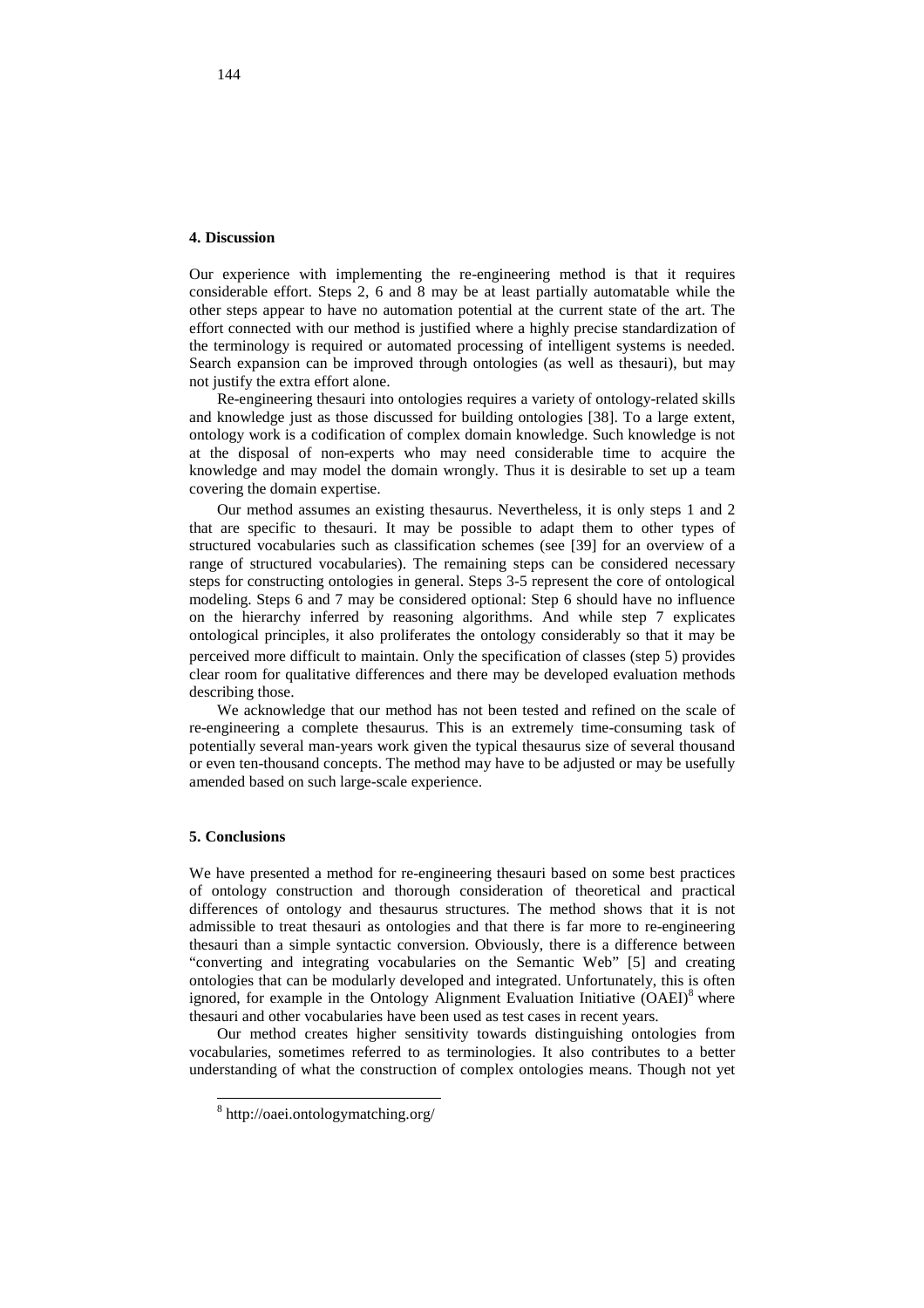#### **4. Discussion**

Our experience with implementing the re-engineering method is that it requires considerable effort. Steps 2, 6 and 8 may be at least partially automatable while the other steps appear to have no automation potential at the current state of the art. The effort connected with our method is justified where a highly precise standardization of the terminology is required or automated processing of intelligent systems is needed. Search expansion can be improved through ontologies (as well as thesauri), but may not justify the extra effort alone.

Re-engineering thesauri into ontologies requires a variety of ontology-related skills and knowledge just as those discussed for building ontologies [38]. To a large extent, ontology work is a codification of complex domain knowledge. Such knowledge is not at the disposal of non-experts who may need considerable time to acquire the knowledge and may model the domain wrongly. Thus it is desirable to set up a team covering the domain expertise.

Our method assumes an existing thesaurus. Nevertheless, it is only steps 1 and 2 that are specific to thesauri. It may be possible to adapt them to other types of structured vocabularies such as classification schemes (see [39] for an overview of a range of structured vocabularies). The remaining steps can be considered necessary steps for constructing ontologies in general. Steps 3-5 represent the core of ontological modeling. Steps 6 and 7 may be considered optional: Step 6 should have no influence on the hierarchy inferred by reasoning algorithms. And while step 7 explicates ontological principles, it also proliferates the ontology considerably so that it may be perceived more difficult to maintain. Only the specification of classes (step 5) provides clear room for qualitative differences and there may be developed evaluation methods describing those.

We acknowledge that our method has not been tested and refined on the scale of re-engineering a complete thesaurus. This is an extremely time-consuming task of potentially several man-years work given the typical thesaurus size of several thousand or even ten-thousand concepts. The method may have to be adjusted or may be usefully amended based on such large-scale experience.

# **5. Conclusions**

l

We have presented a method for re-engineering thesauri based on some best practices of ontology construction and thorough consideration of theoretical and practical differences of ontology and thesaurus structures. The method shows that it is not admissible to treat thesauri as ontologies and that there is far more to re-engineering thesauri than a simple syntactic conversion. Obviously, there is a difference between "converting and integrating vocabularies on the Semantic Web" [5] and creating ontologies that can be modularly developed and integrated. Unfortunately, this is often ignored, for example in the Ontology Alignment Evaluation Initiative (OAEI)<sup>8</sup> where thesauri and other vocabularies have been used as test cases in recent years.

Our method creates higher sensitivity towards distinguishing ontologies from vocabularies, sometimes referred to as terminologies. It also contributes to a better understanding of what the construction of complex ontologies means. Though not yet

<sup>8</sup> http://oaei.ontologymatching.org/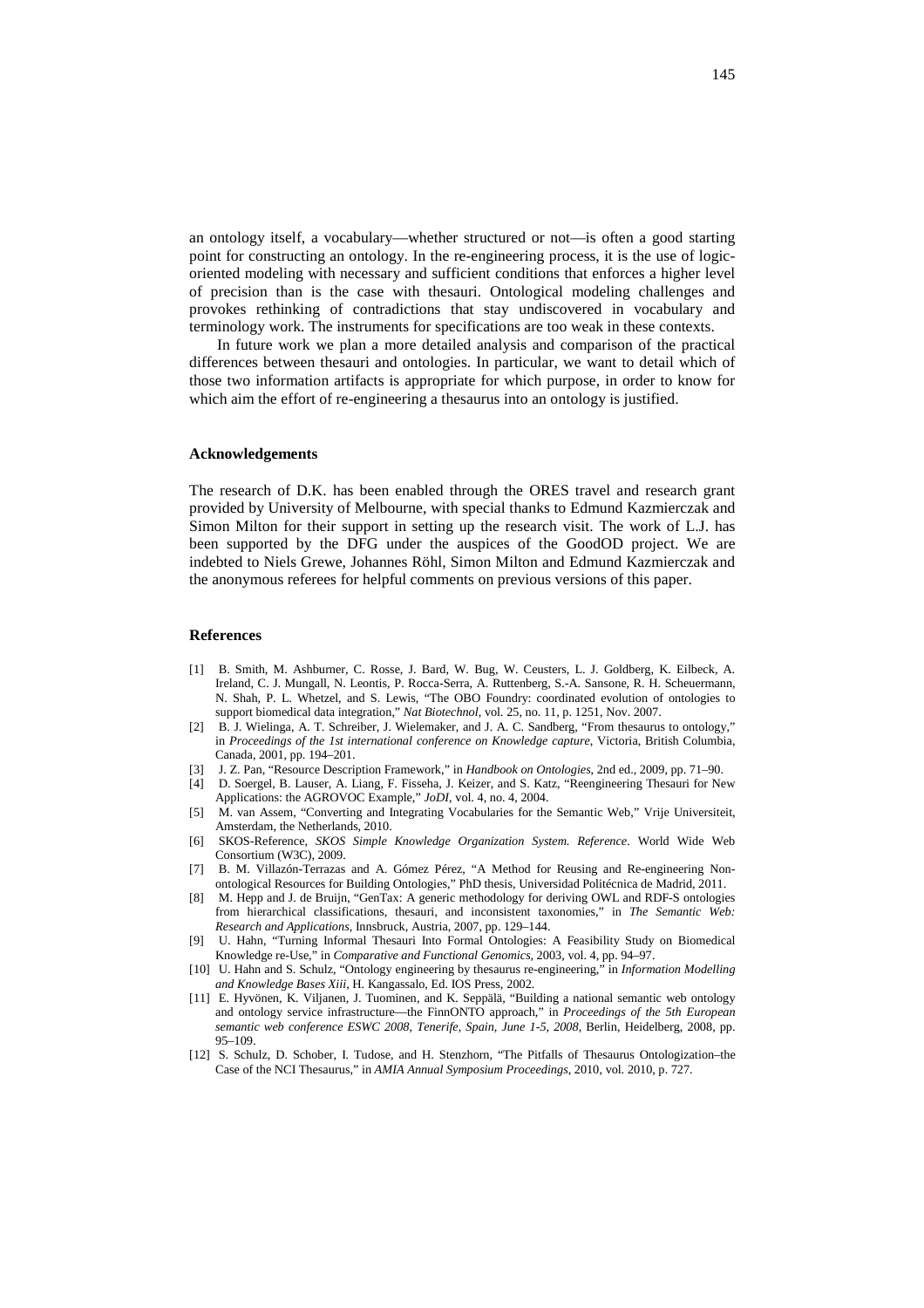an ontology itself, a vocabulary—whether structured or not—is often a good starting point for constructing an ontology. In the re-engineering process, it is the use of logicoriented modeling with necessary and sufficient conditions that enforces a higher level of precision than is the case with thesauri. Ontological modeling challenges and provokes rethinking of contradictions that stay undiscovered in vocabulary and terminology work. The instruments for specifications are too weak in these contexts.

In future work we plan a more detailed analysis and comparison of the practical differences between thesauri and ontologies. In particular, we want to detail which of those two information artifacts is appropriate for which purpose, in order to know for which aim the effort of re-engineering a thesaurus into an ontology is justified.

## **Acknowledgements**

The research of D.K. has been enabled through the ORES travel and research grant provided by University of Melbourne, with special thanks to Edmund Kazmierczak and Simon Milton for their support in setting up the research visit. The work of L.J. has been supported by the DFG under the auspices of the GoodOD project. We are indebted to Niels Grewe, Johannes Röhl, Simon Milton and Edmund Kazmierczak and the anonymous referees for helpful comments on previous versions of this paper.

## **References**

- [1] B. Smith, M. Ashburner, C. Rosse, J. Bard, W. Bug, W. Ceusters, L. J. Goldberg, K. Eilbeck, A. Ireland, C. J. Mungall, N. Leontis, P. Rocca-Serra, A. Ruttenberg, S.-A. Sansone, R. H. Scheuermann, N. Shah, P. L. Whetzel, and S. Lewis, "The OBO Foundry: coordinated evolution of ontologies to support biomedical data integration," *Nat Biotechnol*, vol. 25, no. 11, p. 1251, Nov. 2007.
- [2] B. J. Wielinga, A. T. Schreiber, J. Wielemaker, and J. A. C. Sandberg, "From thesaurus to ontology," in *Proceedings of the 1st international conference on Knowledge capture*, Victoria, British Columbia, Canada, 2001, pp. 194–201.
- [3] J. Z. Pan, "Resource Description Framework," in *Handbook on Ontologies*, 2nd ed., 2009, pp. 71–90.
- [4] D. Soergel, B. Lauser, A. Liang, F. Fisseha, J. Keizer, and S. Katz, "Reengineering Thesauri for New Applications: the AGROVOC Example," *JoDI*, vol. 4, no. 4, 2004.
- [5] M. van Assem, "Converting and Integrating Vocabularies for the Semantic Web," Vrije Universiteit, Amsterdam, the Netherlands, 2010.
- [6] SKOS-Reference, *SKOS Simple Knowledge Organization System. Reference*. World Wide Web Consortium (W3C), 2009.
- [7] B. M. Villazón-Terrazas and A. Gómez Pérez, "A Method for Reusing and Re-engineering Nonontological Resources for Building Ontologies," PhD thesis, Universidad Politécnica de Madrid, 2011.
- [8] M. Hepp and J. de Bruijn, "GenTax: A generic methodology for deriving OWL and RDF-S ontologies from hierarchical classifications, thesauri, and inconsistent taxonomies," in *The Semantic Web: Research and Applications*, Innsbruck, Austria, 2007, pp. 129–144.
- [9] U. Hahn, "Turning Informal Thesauri Into Formal Ontologies: A Feasibility Study on Biomedical Knowledge re-Use," in *Comparative and Functional Genomics*, 2003, vol. 4, pp. 94–97.
- [10] U. Hahn and S. Schulz, "Ontology engineering by thesaurus re-engineering," in *Information Modelling and Knowledge Bases Xiii*, H. Kangassalo, Ed. IOS Press, 2002.
- [11] E. Hyvönen, K. Viljanen, J. Tuominen, and K. Seppälä, "Building a national semantic web ontology and ontology service infrastructure—the FinnONTO approach," in *Proceedings of the 5th European semantic web conference ESWC 2008, Tenerife, Spain, June 1-5, 2008*, Berlin, Heidelberg, 2008, pp. 95–109.
- [12] S. Schulz, D. Schober, I. Tudose, and H. Stenzhorn, "The Pitfalls of Thesaurus Ontologization–the Case of the NCI Thesaurus," in *AMIA Annual Symposium Proceedings*, 2010, vol. 2010, p. 727.